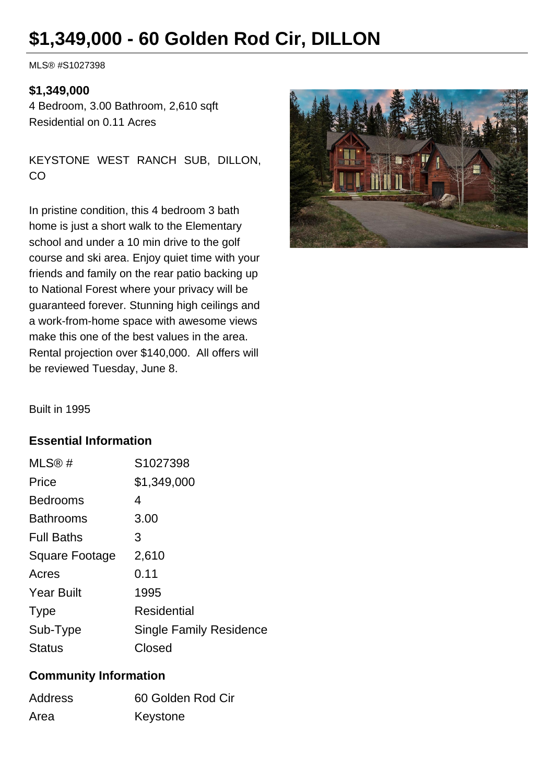## **\$1,349,000 - 60 Golden Rod Cir, DILLON**

MLS® #S1027398

## **\$1,349,000**

4 Bedroom, 3.00 Bathroom, 2,610 sqft Residential on 0.11 Acres

KEYSTONE WEST RANCH SUB, DILLON, CO

In pristine condition, this 4 bedroom 3 bath home is just a short walk to the Elementary school and under a 10 min drive to the golf course and ski area. Enjoy quiet time with your friends and family on the rear patio backing up to National Forest where your privacy will be guaranteed forever. Stunning high ceilings and a work-from-home space with awesome views make this one of the best values in the area. Rental projection over \$140,000. All offers will be reviewed Tuesday, June 8.



Built in 1995

## **Essential Information**

| MLS@#             | S1027398                       |
|-------------------|--------------------------------|
| Price             | \$1,349,000                    |
| <b>Bedrooms</b>   | 4                              |
| <b>Bathrooms</b>  | 3.00                           |
| <b>Full Baths</b> | 3                              |
| Square Footage    | 2,610                          |
| Acres             | 0.11                           |
| <b>Year Built</b> | 1995                           |
| <b>Type</b>       | Residential                    |
| Sub-Type          | <b>Single Family Residence</b> |
| <b>Status</b>     | Closed                         |

## **Community Information**

| Address | 60 Golden Rod Cir |
|---------|-------------------|
| Area    | Keystone          |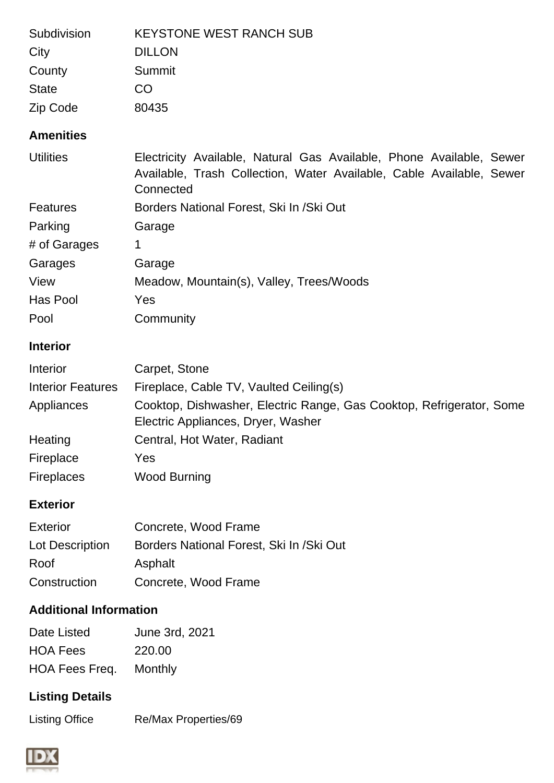| Subdivision<br>City<br>County<br><b>State</b><br>Zip Code | <b>KEYSTONE WEST RANCH SUB</b><br><b>DILLON</b><br>Summit<br>CO<br>80435                                                                                  |
|-----------------------------------------------------------|-----------------------------------------------------------------------------------------------------------------------------------------------------------|
| <b>Amenities</b>                                          |                                                                                                                                                           |
| <b>Utilities</b>                                          | Electricity Available, Natural Gas Available, Phone Available, Sewer<br>Available, Trash Collection, Water Available, Cable Available, Sewer<br>Connected |
| <b>Features</b>                                           | Borders National Forest, Ski In / Ski Out                                                                                                                 |
| Parking                                                   | Garage                                                                                                                                                    |
| # of Garages                                              | 1                                                                                                                                                         |
| Garages                                                   | Garage                                                                                                                                                    |
| View                                                      | Meadow, Mountain(s), Valley, Trees/Woods                                                                                                                  |
| Has Pool                                                  | Yes                                                                                                                                                       |
| Pool                                                      | Community                                                                                                                                                 |
| <b>Interior</b>                                           |                                                                                                                                                           |
| Interior                                                  | Carpet, Stone                                                                                                                                             |
| <b>Interior Features</b>                                  | Fireplace, Cable TV, Vaulted Ceiling(s)                                                                                                                   |
| Appliances                                                | Cooktop, Dishwasher, Electric Range, Gas Cooktop, Refrigerator, Some<br>Electric Appliances, Dryer, Washer                                                |
| Heating                                                   | Central, Hot Water, Radiant                                                                                                                               |
| Fireplace                                                 | Yes                                                                                                                                                       |
| <b>Fireplaces</b>                                         | <b>Wood Burning</b>                                                                                                                                       |
| <b>Exterior</b>                                           |                                                                                                                                                           |
| <b>Exterior</b>                                           | Concrete, Wood Frame                                                                                                                                      |
| Lot Description                                           | Borders National Forest, Ski In / Ski Out                                                                                                                 |
| Roof                                                      | Asphalt                                                                                                                                                   |
| Construction                                              | Concrete, Wood Frame                                                                                                                                      |
| <b>Additional Information</b>                             |                                                                                                                                                           |
| Date Listed                                               | June 3rd, 2021                                                                                                                                            |
| <b>HOA Fees</b>                                           | 220.00                                                                                                                                                    |
| HOA Fees Freq.                                            | <b>Monthly</b>                                                                                                                                            |
| <b>Listing Details</b>                                    |                                                                                                                                                           |

Listing Office Re/Max Properties/69